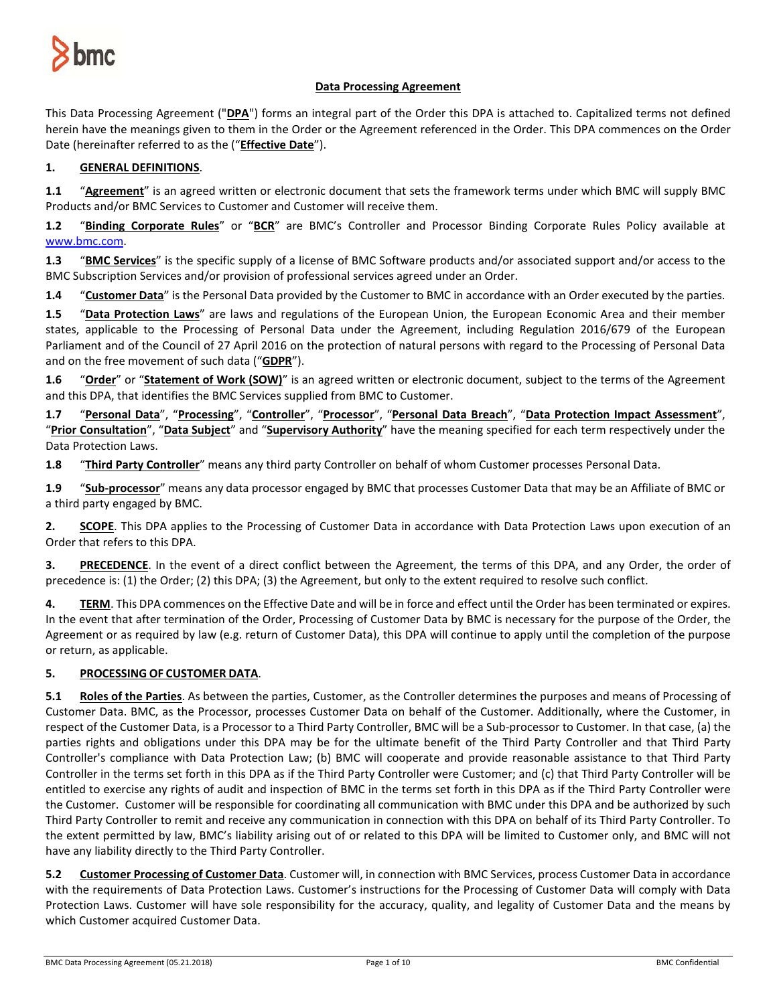

# **Data Processing Agreement**

This Data Processing Agreement ("**DPA**") forms an integral part of the Order this DPA is attached to. Capitalized terms not defined herein have the meanings given to them in the Order or the Agreement referenced in the Order. This DPA commences on the Order Date (hereinafter referred to as the ("**Effective Date**").

# **1. GENERAL DEFINITIONS**.

**1.1** "**Agreement**" is an agreed written or electronic document that sets the framework terms under which BMC will supply BMC Products and/or BMC Services to Customer and Customer will receive them.

**1.2** "**Binding Corporate Rules**" or "**BCR**" are BMC's Controller and Processor Binding Corporate Rules Policy available at [www.bmc.com.](http://www.bmc.com/)

**1.3** "**BMC Services**" is the specific supply of a license of BMC Software products and/or associated support and/or access to the BMC Subscription Services and/or provision of professional services agreed under an Order.

**1.4** "**Customer Data**" is the Personal Data provided by the Customer to BMC in accordance with an Order executed by the parties.

**1.5** "**Data Protection Laws**" are laws and regulations of the European Union, the European Economic Area and their member states, applicable to the Processing of Personal Data under the Agreement, including Regulation 2016/679 of the European Parliament and of the Council of 27 April 2016 on the protection of natural persons with regard to the Processing of Personal Data and on the free movement of such data ("**GDPR**").

**1.6** "**Order**" or "**Statement of Work (SOW)**" is an agreed written or electronic document, subject to the terms of the Agreement and this DPA, that identifies the BMC Services supplied from BMC to Customer.

**1.7** "**Personal Data**", "**Processing**", "**Controller**", "**Processor**", "**Personal Data Breach**", "**Data Protection Impact Assessment**", "**Prior Consultation**", "**Data Subject**" and "**Supervisory Authority**" have the meaning specified for each term respectively under the Data Protection Laws.

**1.8** "**Third Party Controller**" means any third party Controller on behalf of whom Customer processes Personal Data.

**1.9** "**Sub-processor**" means any data processor engaged by BMC that processes Customer Data that may be an Affiliate of BMC or a third party engaged by BMC.

**2. SCOPE**. This DPA applies to the Processing of Customer Data in accordance with Data Protection Laws upon execution of an Order that refers to this DPA.

**3. PRECEDENCE**. In the event of a direct conflict between the Agreement, the terms of this DPA, and any Order, the order of precedence is: (1) the Order; (2) this DPA; (3) the Agreement, but only to the extent required to resolve such conflict.

**4. TERM**. This DPA commences on the Effective Date and will be in force and effect until the Order has been terminated or expires. In the event that after termination of the Order, Processing of Customer Data by BMC is necessary for the purpose of the Order, the Agreement or as required by law (e.g. return of Customer Data), this DPA will continue to apply until the completion of the purpose or return, as applicable.

# **5. PROCESSING OF CUSTOMER DATA**.

**5.1 Roles of the Parties**. As between the parties, Customer, as the Controller determines the purposes and means of Processing of Customer Data. BMC, as the Processor, processes Customer Data on behalf of the Customer. Additionally, where the Customer, in respect of the Customer Data, is a Processor to a Third Party Controller, BMC will be a Sub-processor to Customer. In that case, (a) the parties rights and obligations under this DPA may be for the ultimate benefit of the Third Party Controller and that Third Party Controller's compliance with Data Protection Law; (b) BMC will cooperate and provide reasonable assistance to that Third Party Controller in the terms set forth in this DPA as if the Third Party Controller were Customer; and (c) that Third Party Controller will be entitled to exercise any rights of audit and inspection of BMC in the terms set forth in this DPA as if the Third Party Controller were the Customer. Customer will be responsible for coordinating all communication with BMC under this DPA and be authorized by such Third Party Controller to remit and receive any communication in connection with this DPA on behalf of its Third Party Controller. To the extent permitted by law, BMC's liability arising out of or related to this DPA will be limited to Customer only, and BMC will not have any liability directly to the Third Party Controller.

**5.2 Customer Processing of Customer Data**. Customer will, in connection with BMC Services, process Customer Data in accordance with the requirements of Data Protection Laws. Customer's instructions for the Processing of Customer Data will comply with Data Protection Laws. Customer will have sole responsibility for the accuracy, quality, and legality of Customer Data and the means by which Customer acquired Customer Data.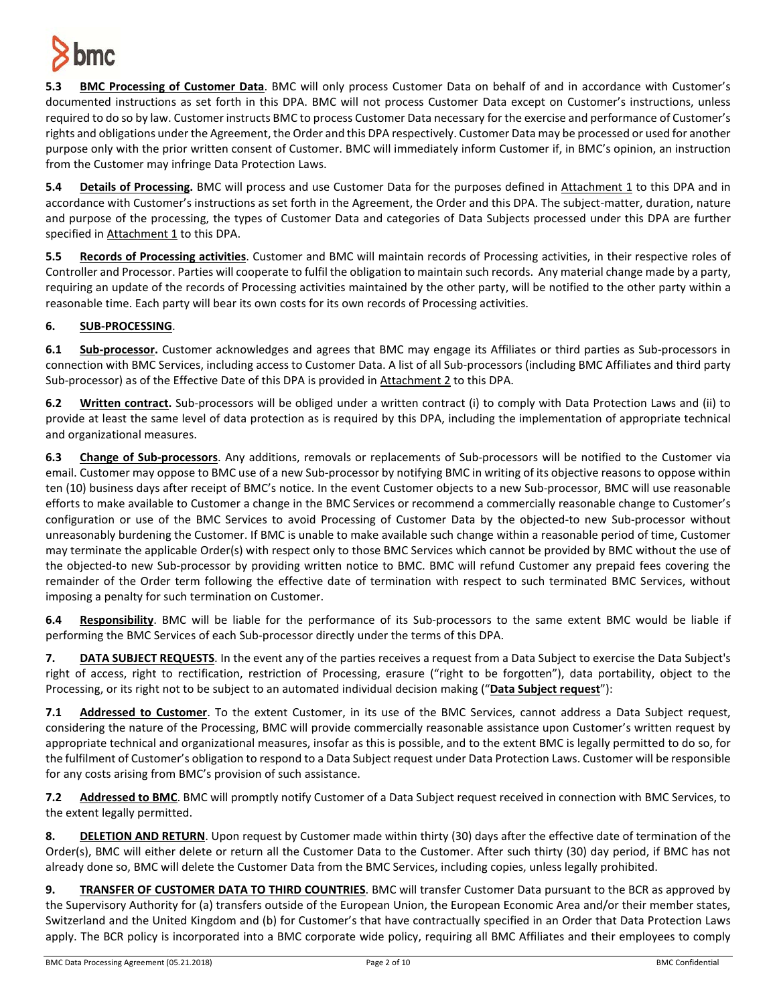

**5.3 BMC Processing of Customer Data**. BMC will only process Customer Data on behalf of and in accordance with Customer's documented instructions as set forth in this DPA. BMC will not process Customer Data except on Customer's instructions, unless required to do so by law. Customer instructs BMC to process Customer Data necessary for the exercise and performance of Customer's rights and obligations under the Agreement, the Order and this DPA respectively. Customer Data may be processed or used for another purpose only with the prior written consent of Customer. BMC will immediately inform Customer if, in BMC's opinion, an instruction from the Customer may infringe Data Protection Laws.

**5.4 Details of Processing.** BMC will process and use Customer Data for the purposes defined in Attachment 1 to this DPA and in accordance with Customer's instructions as set forth in the Agreement, the Order and this DPA. The subject-matter, duration, nature and purpose of the processing, the types of Customer Data and categories of Data Subjects processed under this DPA are further specified in Attachment 1 to this DPA.

**5.5 Records of Processing activities**. Customer and BMC will maintain records of Processing activities, in their respective roles of Controller and Processor. Parties will cooperate to fulfil the obligation to maintain such records. Any material change made by a party, requiring an update of the records of Processing activities maintained by the other party, will be notified to the other party within a reasonable time. Each party will bear its own costs for its own records of Processing activities.

# **6. SUB-PROCESSING**.

**6.1 Sub-processor.** Customer acknowledges and agrees that BMC may engage its Affiliates or third parties as Sub-processors in connection with BMC Services, including access to Customer Data. A list of all Sub-processors (including BMC Affiliates and third party Sub-processor) as of the Effective Date of this DPA is provided in Attachment 2 to this DPA.

**6.2 Written contract.** Sub-processors will be obliged under a written contract (i) to comply with Data Protection Laws and (ii) to provide at least the same level of data protection as is required by this DPA, including the implementation of appropriate technical and organizational measures.

**6.3 Change of Sub-processors**. Any additions, removals or replacements of Sub-processors will be notified to the Customer via email. Customer may oppose to BMC use of a new Sub-processor by notifying BMC in writing of its objective reasons to oppose within ten (10) business days after receipt of BMC's notice. In the event Customer objects to a new Sub-processor, BMC will use reasonable efforts to make available to Customer a change in the BMC Services or recommend a commercially reasonable change to Customer's configuration or use of the BMC Services to avoid Processing of Customer Data by the objected-to new Sub-processor without unreasonably burdening the Customer. If BMC is unable to make available such change within a reasonable period of time, Customer may terminate the applicable Order(s) with respect only to those BMC Services which cannot be provided by BMC without the use of the objected-to new Sub-processor by providing written notice to BMC. BMC will refund Customer any prepaid fees covering the remainder of the Order term following the effective date of termination with respect to such terminated BMC Services, without imposing a penalty for such termination on Customer.

**6.4 Responsibility**. BMC will be liable for the performance of its Sub-processors to the same extent BMC would be liable if performing the BMC Services of each Sub-processor directly under the terms of this DPA.

**7. DATA SUBJECT REQUESTS**. In the event any of the parties receives a request from a Data Subject to exercise the Data Subject's right of access, right to rectification, restriction of Processing, erasure ("right to be forgotten"), data portability, object to the Processing, or its right not to be subject to an automated individual decision making ("**Data Subject request**"):

**7.1 Addressed to Customer**. To the extent Customer, in its use of the BMC Services, cannot address a Data Subject request, considering the nature of the Processing, BMC will provide commercially reasonable assistance upon Customer's written request by appropriate technical and organizational measures, insofar as this is possible, and to the extent BMC is legally permitted to do so, for the fulfilment of Customer's obligation to respond to a Data Subject request under Data Protection Laws. Customer will be responsible for any costs arising from BMC's provision of such assistance.

**7.2 Addressed to BMC**. BMC will promptly notify Customer of a Data Subject request received in connection with BMC Services, to the extent legally permitted.

**8. DELETION AND RETURN**. Upon request by Customer made within thirty (30) days after the effective date of termination of the Order(s), BMC will either delete or return all the Customer Data to the Customer. After such thirty (30) day period, if BMC has not already done so, BMC will delete the Customer Data from the BMC Services, including copies, unless legally prohibited.

**9. TRANSFER OF CUSTOMER DATA TO THIRD COUNTRIES**. BMC will transfer Customer Data pursuant to the BCR as approved by the Supervisory Authority for (a) transfers outside of the European Union, the European Economic Area and/or their member states, Switzerland and the United Kingdom and (b) for Customer's that have contractually specified in an Order that Data Protection Laws apply. The BCR policy is incorporated into a BMC corporate wide policy, requiring all BMC Affiliates and their employees to comply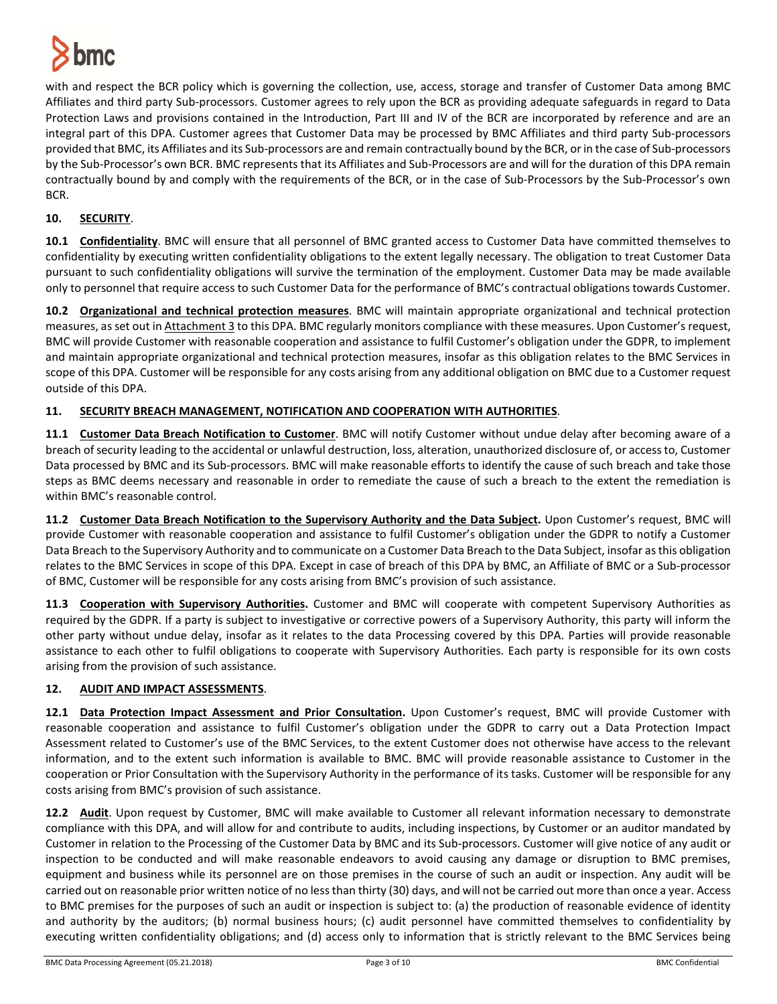

with and respect the BCR policy which is governing the collection, use, access, storage and transfer of Customer Data among BMC Affiliates and third party Sub-processors. Customer agrees to rely upon the BCR as providing adequate safeguards in regard to Data Protection Laws and provisions contained in the Introduction, Part III and IV of the BCR are incorporated by reference and are an integral part of this DPA. Customer agrees that Customer Data may be processed by BMC Affiliates and third party Sub-processors provided that BMC, its Affiliates and its Sub-processors are and remain contractually bound by the BCR, or in the case of Sub-processors by the Sub-Processor's own BCR. BMC represents that its Affiliates and Sub-Processors are and will for the duration of this DPA remain contractually bound by and comply with the requirements of the BCR, or in the case of Sub-Processors by the Sub-Processor's own BCR.

# **10. SECURITY**.

**10.1 Confidentiality**. BMC will ensure that all personnel of BMC granted access to Customer Data have committed themselves to confidentiality by executing written confidentiality obligations to the extent legally necessary. The obligation to treat Customer Data pursuant to such confidentiality obligations will survive the termination of the employment. Customer Data may be made available only to personnel that require access to such Customer Data for the performance of BMC's contractual obligations towards Customer.

**10.2 Organizational and technical protection measures**. BMC will maintain appropriate organizational and technical protection measures, as set out in Attachment 3 to this DPA. BMC regularly monitors compliance with these measures. Upon Customer's request, BMC will provide Customer with reasonable cooperation and assistance to fulfil Customer's obligation under the GDPR, to implement and maintain appropriate organizational and technical protection measures, insofar as this obligation relates to the BMC Services in scope of this DPA. Customer will be responsible for any costs arising from any additional obligation on BMC due to a Customer request outside of this DPA.

# **11. SECURITY BREACH MANAGEMENT, NOTIFICATION AND COOPERATION WITH AUTHORITIES**.

**11.1 Customer Data Breach Notification to Customer**. BMC will notify Customer without undue delay after becoming aware of a breach of security leading to the accidental or unlawful destruction, loss, alteration, unauthorized disclosure of, or access to, Customer Data processed by BMC and its Sub-processors. BMC will make reasonable efforts to identify the cause of such breach and take those steps as BMC deems necessary and reasonable in order to remediate the cause of such a breach to the extent the remediation is within BMC's reasonable control.

**11.2 Customer Data Breach Notification to the Supervisory Authority and the Data Subject.** Upon Customer's request, BMC will provide Customer with reasonable cooperation and assistance to fulfil Customer's obligation under the GDPR to notify a Customer Data Breach to the Supervisory Authority and to communicate on a Customer Data Breach to the Data Subject, insofar as this obligation relates to the BMC Services in scope of this DPA. Except in case of breach of this DPA by BMC, an Affiliate of BMC or a Sub-processor of BMC, Customer will be responsible for any costs arising from BMC's provision of such assistance.

**11.3 Cooperation with Supervisory Authorities.** Customer and BMC will cooperate with competent Supervisory Authorities as required by the GDPR. If a party is subject to investigative or corrective powers of a Supervisory Authority, this party will inform the other party without undue delay, insofar as it relates to the data Processing covered by this DPA. Parties will provide reasonable assistance to each other to fulfil obligations to cooperate with Supervisory Authorities. Each party is responsible for its own costs arising from the provision of such assistance.

### **12. AUDIT AND IMPACT ASSESSMENTS**.

**12.1 Data Protection Impact Assessment and Prior Consultation.** Upon Customer's request, BMC will provide Customer with reasonable cooperation and assistance to fulfil Customer's obligation under the GDPR to carry out a Data Protection Impact Assessment related to Customer's use of the BMC Services, to the extent Customer does not otherwise have access to the relevant information, and to the extent such information is available to BMC. BMC will provide reasonable assistance to Customer in the cooperation or Prior Consultation with the Supervisory Authority in the performance of its tasks. Customer will be responsible for any costs arising from BMC's provision of such assistance.

**12.2 Audit**. Upon request by Customer, BMC will make available to Customer all relevant information necessary to demonstrate compliance with this DPA, and will allow for and contribute to audits, including inspections, by Customer or an auditor mandated by Customer in relation to the Processing of the Customer Data by BMC and its Sub-processors. Customer will give notice of any audit or inspection to be conducted and will make reasonable endeavors to avoid causing any damage or disruption to BMC premises, equipment and business while its personnel are on those premises in the course of such an audit or inspection. Any audit will be carried out on reasonable prior written notice of no less than thirty (30) days, and will not be carried out more than once a year. Access to BMC premises for the purposes of such an audit or inspection is subject to: (a) the production of reasonable evidence of identity and authority by the auditors; (b) normal business hours; (c) audit personnel have committed themselves to confidentiality by executing written confidentiality obligations; and (d) access only to information that is strictly relevant to the BMC Services being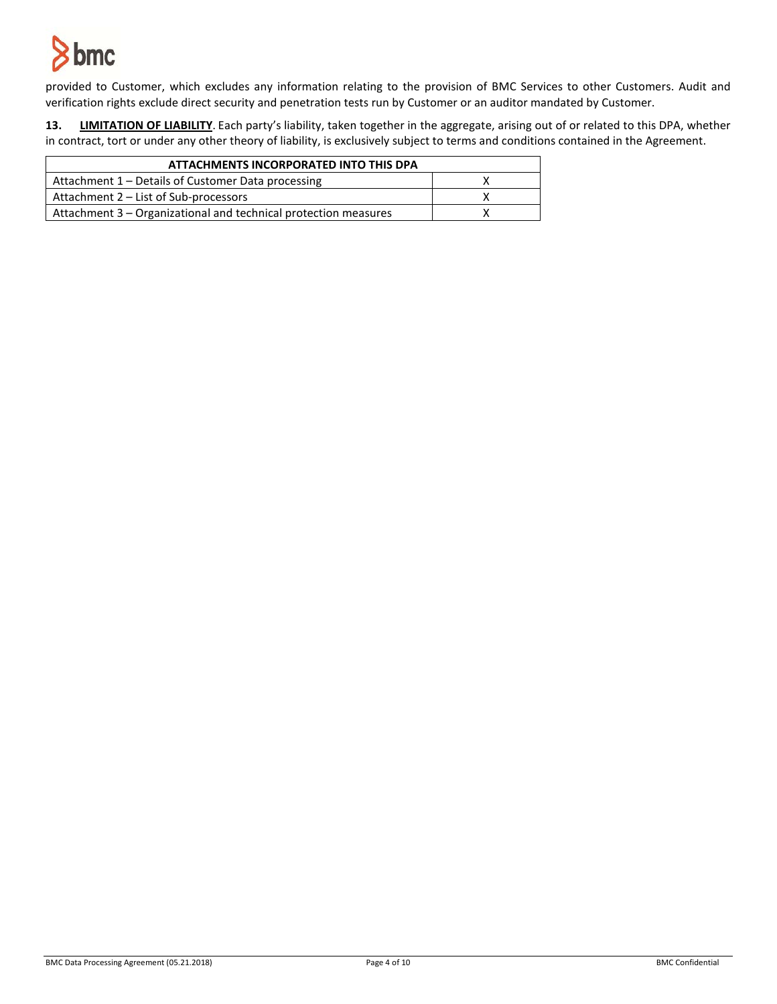

provided to Customer, which excludes any information relating to the provision of BMC Services to other Customers. Audit and verification rights exclude direct security and penetration tests run by Customer or an auditor mandated by Customer.

**13. LIMITATION OF LIABILITY**. Each party's liability, taken together in the aggregate, arising out of or related to this DPA, whether in contract, tort or under any other theory of liability, is exclusively subject to terms and conditions contained in the Agreement.

| ATTACHMENTS INCORPORATED INTO THIS DPA                          |  |  |
|-----------------------------------------------------------------|--|--|
| Attachment 1 – Details of Customer Data processing              |  |  |
| Attachment 2 - List of Sub-processors                           |  |  |
| Attachment 3 - Organizational and technical protection measures |  |  |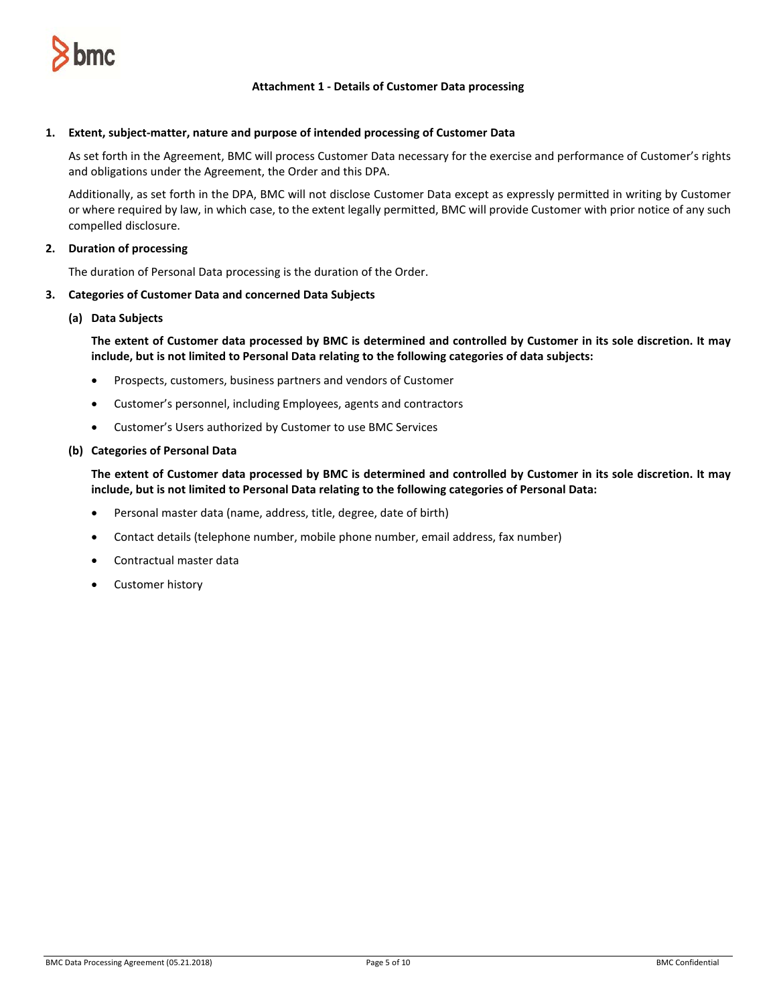

## **Attachment 1 - Details of Customer Data processing**

### **1. Extent, subject-matter, nature and purpose of intended processing of Customer Data**

As set forth in the Agreement, BMC will process Customer Data necessary for the exercise and performance of Customer's rights and obligations under the Agreement, the Order and this DPA.

Additionally, as set forth in the DPA, BMC will not disclose Customer Data except as expressly permitted in writing by Customer or where required by law, in which case, to the extent legally permitted, BMC will provide Customer with prior notice of any such compelled disclosure.

## **2. Duration of processing**

The duration of Personal Data processing is the duration of the Order.

#### **3. Categories of Customer Data and concerned Data Subjects**

#### **(a) Data Subjects**

**The extent of Customer data processed by BMC is determined and controlled by Customer in its sole discretion. It may include, but is not limited to Personal Data relating to the following categories of data subjects:**

- Prospects, customers, business partners and vendors of Customer
- Customer's personnel, including Employees, agents and contractors
- Customer's Users authorized by Customer to use BMC Services

#### **(b) Categories of Personal Data**

**The extent of Customer data processed by BMC is determined and controlled by Customer in its sole discretion. It may include, but is not limited to Personal Data relating to the following categories of Personal Data:**

- Personal master data (name, address, title, degree, date of birth)
- Contact details (telephone number, mobile phone number, email address, fax number)
- Contractual master data
- Customer history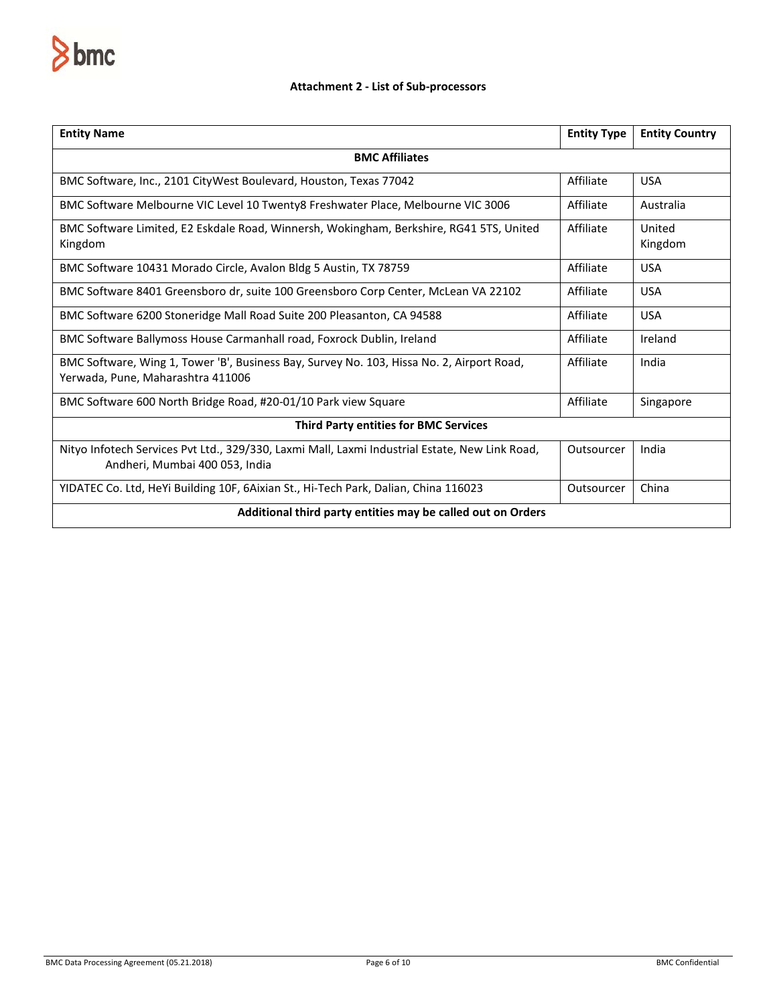

# **Attachment 2 - List of Sub-processors**

| <b>Entity Name</b>                                                                                                               | <b>Entity Type</b> | <b>Entity Country</b> |  |
|----------------------------------------------------------------------------------------------------------------------------------|--------------------|-----------------------|--|
| <b>BMC Affiliates</b>                                                                                                            |                    |                       |  |
| BMC Software, Inc., 2101 CityWest Boulevard, Houston, Texas 77042                                                                | Affiliate          | <b>USA</b>            |  |
| BMC Software Melbourne VIC Level 10 Twenty8 Freshwater Place, Melbourne VIC 3006                                                 | Affiliate          | Australia             |  |
| BMC Software Limited, E2 Eskdale Road, Winnersh, Wokingham, Berkshire, RG41 5TS, United<br>Kingdom                               | Affiliate          | United<br>Kingdom     |  |
| BMC Software 10431 Morado Circle, Avalon Bldg 5 Austin, TX 78759                                                                 | Affiliate          | <b>USA</b>            |  |
| BMC Software 8401 Greensboro dr, suite 100 Greensboro Corp Center, McLean VA 22102                                               | Affiliate          | <b>USA</b>            |  |
| BMC Software 6200 Stoneridge Mall Road Suite 200 Pleasanton, CA 94588                                                            | Affiliate          | <b>USA</b>            |  |
| BMC Software Ballymoss House Carmanhall road, Foxrock Dublin, Ireland                                                            | Affiliate          | Ireland               |  |
| BMC Software, Wing 1, Tower 'B', Business Bay, Survey No. 103, Hissa No. 2, Airport Road,<br>Yerwada, Pune, Maharashtra 411006   | Affiliate          | India                 |  |
| BMC Software 600 North Bridge Road, #20-01/10 Park view Square                                                                   | Affiliate          | Singapore             |  |
| <b>Third Party entities for BMC Services</b>                                                                                     |                    |                       |  |
| Nityo Infotech Services Pvt Ltd., 329/330, Laxmi Mall, Laxmi Industrial Estate, New Link Road,<br>Andheri, Mumbai 400 053, India | Outsourcer         | India                 |  |
| YIDATEC Co. Ltd, HeYi Building 10F, 6Aixian St., Hi-Tech Park, Dalian, China 116023                                              | Outsourcer         | China                 |  |
| Additional third party entities may be called out on Orders                                                                      |                    |                       |  |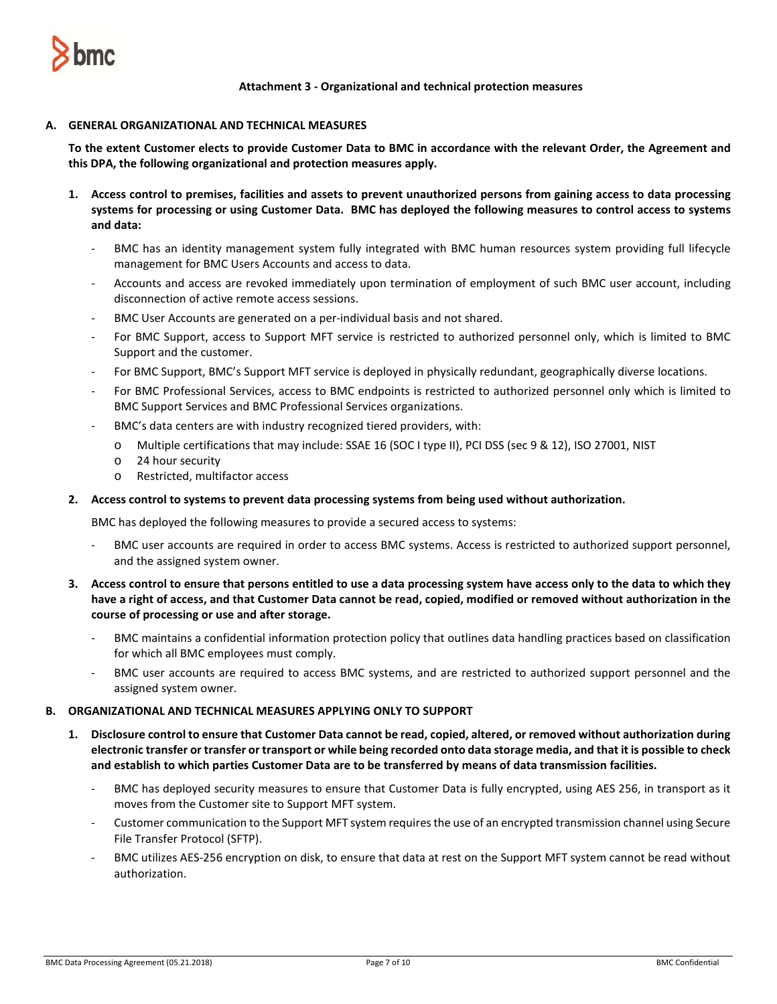

**Attachment 3 - Organizational and technical protection measures**

## **A. GENERAL ORGANIZATIONAL AND TECHNICAL MEASURES**

**To the extent Customer elects to provide Customer Data to BMC in accordance with the relevant Order, the Agreement and this DPA, the following organizational and protection measures apply.** 

- **1. Access control to premises, facilities and assets to prevent unauthorized persons from gaining access to data processing systems for processing or using Customer Data. BMC has deployed the following measures to control access to systems and data:**
	- BMC has an identity management system fully integrated with BMC human resources system providing full lifecycle management for BMC Users Accounts and access to data.
	- Accounts and access are revoked immediately upon termination of employment of such BMC user account, including disconnection of active remote access sessions.
	- BMC User Accounts are generated on a per-individual basis and not shared.
	- For BMC Support, access to Support MFT service is restricted to authorized personnel only, which is limited to BMC Support and the customer.
	- For BMC Support, BMC's Support MFT service is deployed in physically redundant, geographically diverse locations.
	- For BMC Professional Services, access to BMC endpoints is restricted to authorized personnel only which is limited to BMC Support Services and BMC Professional Services organizations.
	- BMC's data centers are with industry recognized tiered providers, with:
		- o Multiple certifications that may include: SSAE 16 (SOC I type II), PCI DSS (sec 9 & 12), ISO 27001, NIST
		- o 24 hour security
		- o Restricted, multifactor access

# **2. Access control to systems to prevent data processing systems from being used without authorization.**

BMC has deployed the following measures to provide a secured access to systems:

- BMC user accounts are required in order to access BMC systems. Access is restricted to authorized support personnel, and the assigned system owner.
- **3. Access control to ensure that persons entitled to use a data processing system have access only to the data to which they have a right of access, and that Customer Data cannot be read, copied, modified or removed without authorization in the course of processing or use and after storage.**
	- BMC maintains a confidential information protection policy that outlines data handling practices based on classification for which all BMC employees must comply.
	- BMC user accounts are required to access BMC systems, and are restricted to authorized support personnel and the assigned system owner.

### **B. ORGANIZATIONAL AND TECHNICAL MEASURES APPLYING ONLY TO SUPPORT**

- **1. Disclosure control to ensure that Customer Data cannot be read, copied, altered, or removed without authorization during electronic transfer or transfer or transport or while being recorded onto data storage media, and that it is possible to check and establish to which parties Customer Data are to be transferred by means of data transmission facilities.** 
	- BMC has deployed security measures to ensure that Customer Data is fully encrypted, using AES 256, in transport as it moves from the Customer site to Support MFT system.
	- Customer communication to the Support MFT system requires the use of an encrypted transmission channel using Secure File Transfer Protocol (SFTP).
	- BMC utilizes AES-256 encryption on disk, to ensure that data at rest on the Support MFT system cannot be read without authorization.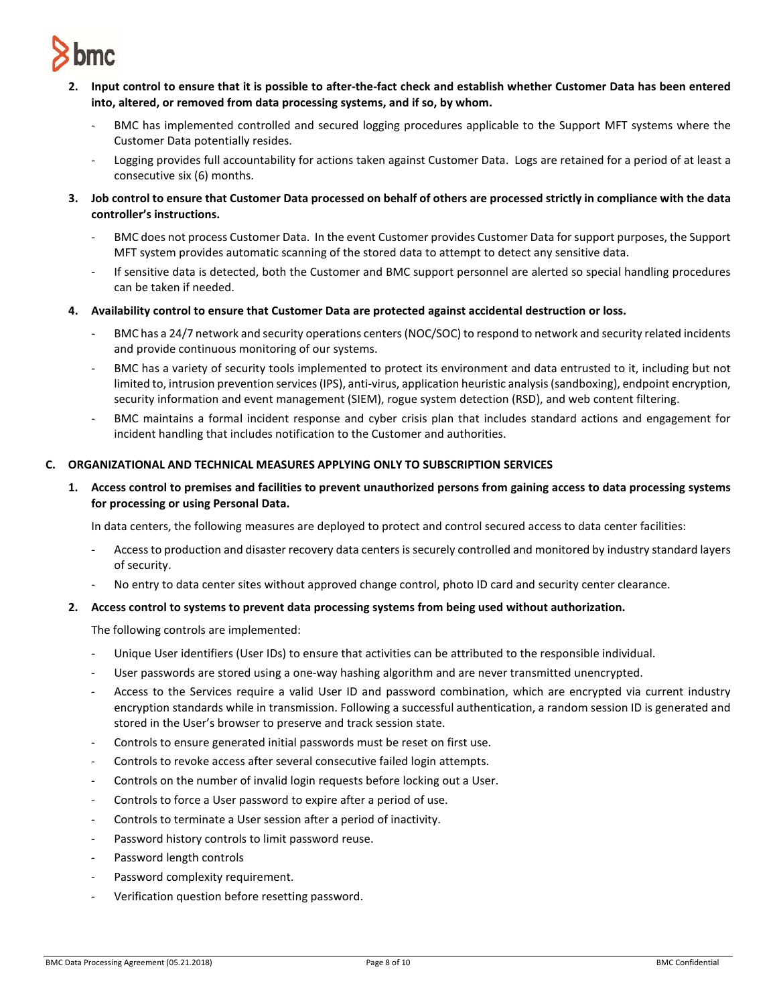

- **2. Input control to ensure that it is possible to after-the-fact check and establish whether Customer Data has been entered into, altered, or removed from data processing systems, and if so, by whom.** 
	- BMC has implemented controlled and secured logging procedures applicable to the Support MFT systems where the Customer Data potentially resides.
	- Logging provides full accountability for actions taken against Customer Data. Logs are retained for a period of at least a consecutive six (6) months.
- **3. Job control to ensure that Customer Data processed on behalf of others are processed strictly in compliance with the data controller's instructions.** 
	- BMC does not process Customer Data. In the event Customer provides Customer Data for support purposes, the Support MFT system provides automatic scanning of the stored data to attempt to detect any sensitive data.
	- If sensitive data is detected, both the Customer and BMC support personnel are alerted so special handling procedures can be taken if needed.
- **4. Availability control to ensure that Customer Data are protected against accidental destruction or loss.** 
	- BMC has a 24/7 network and security operations centers (NOC/SOC) to respond to network and security related incidents and provide continuous monitoring of our systems.
	- BMC has a variety of security tools implemented to protect its environment and data entrusted to it, including but not limited to, intrusion prevention services (IPS), anti-virus, application heuristic analysis (sandboxing), endpoint encryption, security information and event management (SIEM), rogue system detection (RSD), and web content filtering.
	- BMC maintains a formal incident response and cyber crisis plan that includes standard actions and engagement for incident handling that includes notification to the Customer and authorities.

# **C. ORGANIZATIONAL AND TECHNICAL MEASURES APPLYING ONLY TO SUBSCRIPTION SERVICES**

**1. Access control to premises and facilities to prevent unauthorized persons from gaining access to data processing systems for processing or using Personal Data.**

In data centers, the following measures are deployed to protect and control secured access to data center facilities:

- Access to production and disaster recovery data centers is securely controlled and monitored by industry standard layers of security.
- No entry to data center sites without approved change control, photo ID card and security center clearance.

### **2. Access control to systems to prevent data processing systems from being used without authorization.**

The following controls are implemented:

- Unique User identifiers (User IDs) to ensure that activities can be attributed to the responsible individual.
- User passwords are stored using a one-way hashing algorithm and are never transmitted unencrypted.
- Access to the Services require a valid User ID and password combination, which are encrypted via current industry encryption standards while in transmission. Following a successful authentication, a random session ID is generated and stored in the User's browser to preserve and track session state.
- Controls to ensure generated initial passwords must be reset on first use.
- Controls to revoke access after several consecutive failed login attempts.
- Controls on the number of invalid login requests before locking out a User.
- Controls to force a User password to expire after a period of use.
- Controls to terminate a User session after a period of inactivity.
- Password history controls to limit password reuse.
- Password length controls
- Password complexity requirement.
- Verification question before resetting password.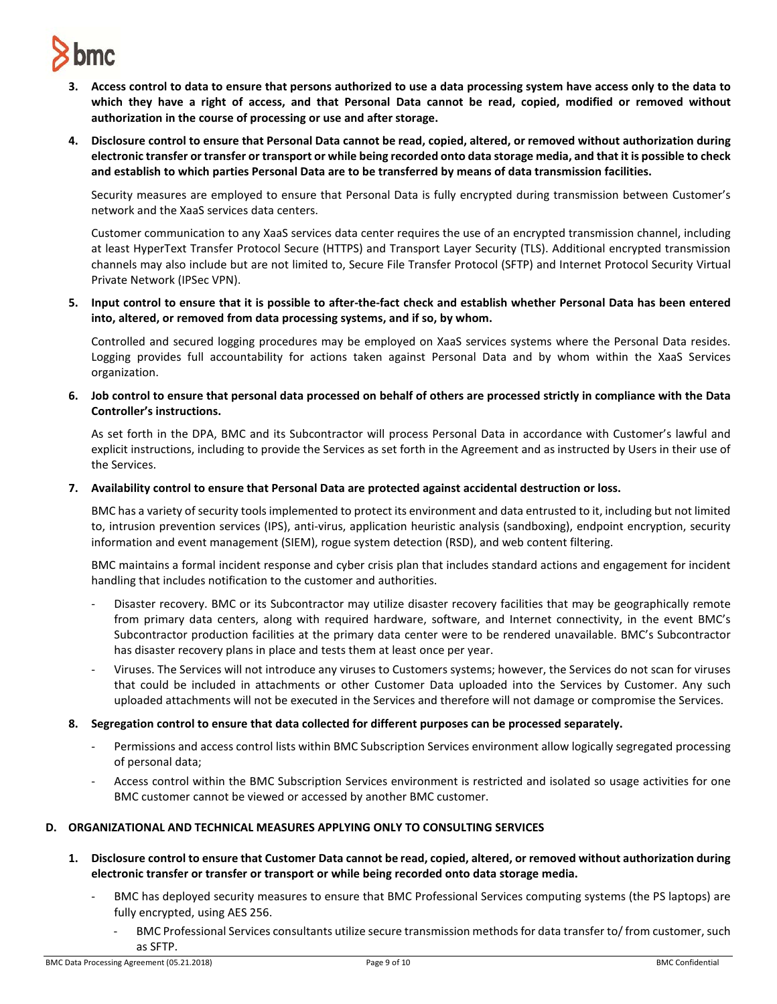

- **3. Access control to data to ensure that persons authorized to use a data processing system have access only to the data to which they have a right of access, and that Personal Data cannot be read, copied, modified or removed without authorization in the course of processing or use and after storage.**
- **4. Disclosure control to ensure that Personal Data cannot be read, copied, altered, or removed without authorization during electronic transfer or transfer or transport or while being recorded onto data storage media, and that it is possible to check and establish to which parties Personal Data are to be transferred by means of data transmission facilities.**

Security measures are employed to ensure that Personal Data is fully encrypted during transmission between Customer's network and the XaaS services data centers.

Customer communication to any XaaS services data center requires the use of an encrypted transmission channel, including at least HyperText Transfer Protocol Secure (HTTPS) and Transport Layer Security (TLS). Additional encrypted transmission channels may also include but are not limited to, Secure File Transfer Protocol (SFTP) and Internet Protocol Security Virtual Private Network (IPSec VPN).

**5. Input control to ensure that it is possible to after-the-fact check and establish whether Personal Data has been entered into, altered, or removed from data processing systems, and if so, by whom.**

Controlled and secured logging procedures may be employed on XaaS services systems where the Personal Data resides. Logging provides full accountability for actions taken against Personal Data and by whom within the XaaS Services organization.

**6. Job control to ensure that personal data processed on behalf of others are processed strictly in compliance with the Data Controller's instructions.**

As set forth in the DPA, BMC and its Subcontractor will process Personal Data in accordance with Customer's lawful and explicit instructions, including to provide the Services as set forth in the Agreement and as instructed by Users in their use of the Services.

**7. Availability control to ensure that Personal Data are protected against accidental destruction or loss.**

BMC has a variety of security tools implemented to protect its environment and data entrusted to it, including but not limited to, intrusion prevention services (IPS), anti-virus, application heuristic analysis (sandboxing), endpoint encryption, security information and event management (SIEM), rogue system detection (RSD), and web content filtering.

BMC maintains a formal incident response and cyber crisis plan that includes standard actions and engagement for incident handling that includes notification to the customer and authorities.

- Disaster recovery. BMC or its Subcontractor may utilize disaster recovery facilities that may be geographically remote from primary data centers, along with required hardware, software, and Internet connectivity, in the event BMC's Subcontractor production facilities at the primary data center were to be rendered unavailable. BMC's Subcontractor has disaster recovery plans in place and tests them at least once per year.
- Viruses. The Services will not introduce any viruses to Customers systems; however, the Services do not scan for viruses that could be included in attachments or other Customer Data uploaded into the Services by Customer. Any such uploaded attachments will not be executed in the Services and therefore will not damage or compromise the Services.
- **8. Segregation control to ensure that data collected for different purposes can be processed separately.** 
	- Permissions and access control lists within BMC Subscription Services environment allow logically segregated processing of personal data;
	- Access control within the BMC Subscription Services environment is restricted and isolated so usage activities for one BMC customer cannot be viewed or accessed by another BMC customer.

### **D. ORGANIZATIONAL AND TECHNICAL MEASURES APPLYING ONLY TO CONSULTING SERVICES**

- **1. Disclosure control to ensure that Customer Data cannot be read, copied, altered, or removed without authorization during electronic transfer or transfer or transport or while being recorded onto data storage media.**
	- BMC has deployed security measures to ensure that BMC Professional Services computing systems (the PS laptops) are fully encrypted, using AES 256.
		- BMC Professional Services consultants utilize secure transmission methods for data transfer to/ from customer, such as SFTP.